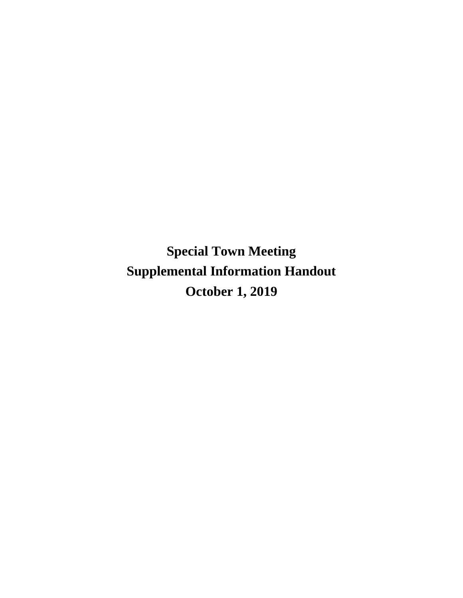**Special Town Meeting Supplemental Information Handout October 1, 2019**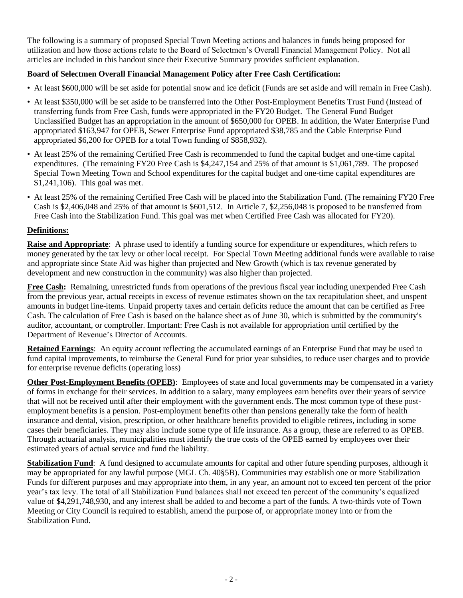The following is a summary of proposed Special Town Meeting actions and balances in funds being proposed for utilization and how those actions relate to the Board of Selectmen's Overall Financial Management Policy. Not all articles are included in this handout since their Executive Summary provides sufficient explanation.

# **Board of Selectmen Overall Financial Management Policy after Free Cash Certification:**

- At least \$600,000 will be set aside for potential snow and ice deficit (Funds are set aside and will remain in Free Cash).
- At least \$350,000 will be set aside to be transferred into the Other Post-Employment Benefits Trust Fund (Instead of transferring funds from Free Cash, funds were appropriated in the FY20 Budget. The General Fund Budget Unclassified Budget has an appropriation in the amount of \$650,000 for OPEB. In addition, the Water Enterprise Fund appropriated \$163,947 for OPEB, Sewer Enterprise Fund appropriated \$38,785 and the Cable Enterprise Fund appropriated \$6,200 for OPEB for a total Town funding of \$858,932).
- At least 25% of the remaining Certified Free Cash is recommended to fund the capital budget and one-time capital expenditures. (The remaining FY20 Free Cash is \$4,247,154 and 25% of that amount is \$1,061,789. The proposed Special Town Meeting Town and School expenditures for the capital budget and one-time capital expenditures are \$1,241,106). This goal was met.
- At least 25% of the remaining Certified Free Cash will be placed into the Stabilization Fund. (The remaining FY20 Free Cash is \$2,406,048 and 25% of that amount is \$601,512. In Article 7, \$2,256,048 is proposed to be transferred from Free Cash into the Stabilization Fund. This goal was met when Certified Free Cash was allocated for FY20).

# **Definitions:**

**Raise and Appropriate**: A phrase used to identify a funding source for expenditure or expenditures, which refers to money generated by the tax levy or other local receipt. For Special Town Meeting additional funds were available to raise and appropriate since State Aid was higher than projected and New Growth (which is tax revenue generated by development and new construction in the community) was also higher than projected.

**Free Cash:** Remaining, unrestricted funds from operations of the previous fiscal year including unexpended Free Cash from the previous year, actual receipts in excess of revenue estimates shown on the tax recapitulation sheet, and unspent amounts in budget line-items. Unpaid property taxes and certain deficits reduce the amount that can be certified as Free Cash. The calculation of Free Cash is based on the balance sheet as of June 30, which is submitted by the community's auditor, accountant, or comptroller. Important: Free Cash is not available for appropriation until certified by the Department of Revenue's Director of Accounts.

**Retained Earnings**: An equity account reflecting the accumulated earnings of an Enterprise Fund that may be used to fund capital improvements, to reimburse the General Fund for prior year subsidies, to reduce user charges and to provide for enterprise revenue deficits (operating loss)

**Other Post-Employment Benefits (OPEB):** Employees of state and local governments may be compensated in a variety of forms in exchange for their services. In addition to a salary, many employees earn benefits over their years of service that will not be received until after their employment with the government ends. The most common type of these postemployment benefits is a pension. Post-employment benefits other than pensions generally take the form of health insurance and dental, vision, prescription, or other healthcare benefits provided to eligible retirees, including in some cases their beneficiaries. They may also include some type of life insurance. As a group, these are referred to as OPEB. Through actuarial analysis, municipalities must identify the true costs of the OPEB earned by employees over their estimated years of actual service and fund the liability.

**Stabilization Fund**: A fund designed to accumulate amounts for capital and other future spending purposes, although it may be appropriated for any lawful purpose (MGL Ch. 40§5B). Communities may establish one or more Stabilization Funds for different purposes and may appropriate into them, in any year, an amount not to exceed ten percent of the prior year's tax levy. The total of all Stabilization Fund balances shall not exceed ten percent of the community's equalized value of \$4,291,748,930, and any interest shall be added to and become a part of the funds. A two-thirds vote of Town Meeting or City Council is required to establish, amend the purpose of, or appropriate money into or from the Stabilization Fund.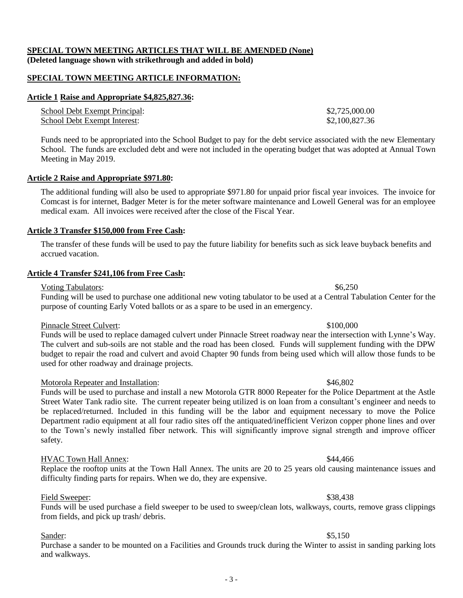## **SPECIAL TOWN MEETING ARTICLES THAT WILL BE AMENDED (None) (Deleted language shown with strikethrough and added in bold)**

#### **SPECIAL TOWN MEETING ARTICLE INFORMATION:**

#### **Article 1 Raise and Appropriate \$4,825,827.36:**

| School Debt Exempt Principal: | \$2,725,000.00 |
|-------------------------------|----------------|
| School Debt Exempt Interest:  | \$2,100,827.36 |

Funds need to be appropriated into the School Budget to pay for the debt service associated with the new Elementary School. The funds are excluded debt and were not included in the operating budget that was adopted at Annual Town Meeting in May 2019.

#### **Article 2 Raise and Appropriate \$971.80:**

The additional funding will also be used to appropriate \$971.80 for unpaid prior fiscal year invoices. The invoice for Comcast is for internet, Badger Meter is for the meter software maintenance and Lowell General was for an employee medical exam. All invoices were received after the close of the Fiscal Year.

#### **Article 3 Transfer \$150,000 from Free Cash:**

The transfer of these funds will be used to pay the future liability for benefits such as sick leave buyback benefits and accrued vacation.

#### **Article 4 Transfer \$241,106 from Free Cash:**

#### Voting Tabulators:  $$6,250$

Funding will be used to purchase one additional new voting tabulator to be used at a Central Tabulation Center for the purpose of counting Early Voted ballots or as a spare to be used in an emergency.

## Pinnacle Street Culvert: \$100,000

Funds will be used to replace damaged culvert under Pinnacle Street roadway near the intersection with Lynne's Way. The culvert and sub-soils are not stable and the road has been closed. Funds will supplement funding with the DPW budget to repair the road and culvert and avoid Chapter 90 funds from being used which will allow those funds to be used for other roadway and drainage projects.

## Motorola Repeater and Installation: \$46,802

Funds will be used to purchase and install a new Motorola GTR 8000 Repeater for the Police Department at the Astle Street Water Tank radio site. The current repeater being utilized is on loan from a consultant's engineer and needs to be replaced/returned. Included in this funding will be the labor and equipment necessary to move the Police Department radio equipment at all four radio sites off the antiquated/inefficient Verizon copper phone lines and over to the Town's newly installed fiber network. This will significantly improve signal strength and improve officer safety.

## HVAC Town Hall Annex: \$44,466

Replace the rooftop units at the Town Hall Annex. The units are 20 to 25 years old causing maintenance issues and difficulty finding parts for repairs. When we do, they are expensive.

## Field Sweeper: \$38,438

Funds will be used purchase a field sweeper to be used to sweep/clean lots, walkways, courts, remove grass clippings from fields, and pick up trash/ debris.

#### Sander: \$5,150

Purchase a sander to be mounted on a Facilities and Grounds truck during the Winter to assist in sanding parking lots and walkways.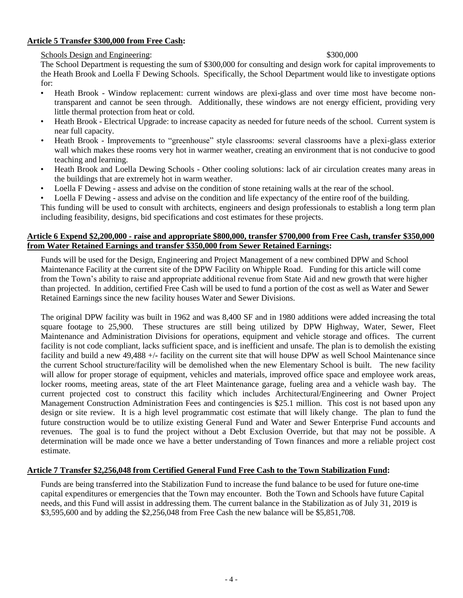## **Article 5 Transfer \$300,000 from Free Cash:**

## Schools Design and Engineering:  $$300,000$

The School Department is requesting the sum of \$300,000 for consulting and design work for capital improvements to the Heath Brook and Loella F Dewing Schools. Specifically, the School Department would like to investigate options for:

- Heath Brook Window replacement: current windows are plexi-glass and over time most have become nontransparent and cannot be seen through. Additionally, these windows are not energy efficient, providing very little thermal protection from heat or cold.
- Heath Brook Electrical Upgrade: to increase capacity as needed for future needs of the school. Current system is near full capacity.
- Heath Brook Improvements to "greenhouse" style classrooms: several classrooms have a plexi-glass exterior wall which makes these rooms very hot in warmer weather, creating an environment that is not conducive to good teaching and learning.
- Heath Brook and Loella Dewing Schools Other cooling solutions: lack of air circulation creates many areas in the buildings that are extremely hot in warm weather.
- Loella F Dewing assess and advise on the condition of stone retaining walls at the rear of the school.
- Loella F Dewing assess and advise on the condition and life expectancy of the entire roof of the building.

This funding will be used to consult with architects, engineers and design professionals to establish a long term plan including feasibility, designs, bid specifications and cost estimates for these projects.

## **Article 6 Expend \$2,200,000 - raise and appropriate \$800,000, transfer \$700,000 from Free Cash, transfer \$350,000 from Water Retained Earnings and transfer \$350,000 from Sewer Retained Earnings:**

Funds will be used for the Design, Engineering and Project Management of a new combined DPW and School Maintenance Facility at the current site of the DPW Facility on Whipple Road. Funding for this article will come from the Town's ability to raise and appropriate additional revenue from State Aid and new growth that were higher than projected. In addition, certified Free Cash will be used to fund a portion of the cost as well as Water and Sewer Retained Earnings since the new facility houses Water and Sewer Divisions.

The original DPW facility was built in 1962 and was 8,400 SF and in 1980 additions were added increasing the total square footage to 25,900. These structures are still being utilized by DPW Highway, Water, Sewer, Fleet Maintenance and Administration Divisions for operations, equipment and vehicle storage and offices. The current facility is not code compliant, lacks sufficient space, and is inefficient and unsafe. The plan is to demolish the existing facility and build a new 49,488 +/**-** facility on the current site that will house DPW as well School Maintenance since the current School structure/facility will be demolished when the new Elementary School is built. The new facility will allow for proper storage of equipment, vehicles and materials, improved office space and employee work areas, locker rooms, meeting areas, state of the art Fleet Maintenance garage, fueling area and a vehicle wash bay. The current projected cost to construct this facility which includes Architectural/Engineering and Owner Project Management Construction Administration Fees and contingencies is \$25.1 million. This cost is not based upon any design or site review. It is a high level programmatic cost estimate that will likely change. The plan to fund the future construction would be to utilize existing General Fund and Water and Sewer Enterprise Fund accounts and revenues. The goal is to fund the project without a Debt Exclusion Override, but that may not be possible. A determination will be made once we have a better understanding of Town finances and more a reliable project cost estimate.

## **Article 7 Transfer \$2,256,048 from Certified General Fund Free Cash to the Town Stabilization Fund:**

Funds are being transferred into the Stabilization Fund to increase the fund balance to be used for future one-time capital expenditures or emergencies that the Town may encounter. Both the Town and Schools have future Capital needs, and this Fund will assist in addressing them. The current balance in the Stabilization as of July 31, 2019 is \$3,595,600 and by adding the \$2,256,048 from Free Cash the new balance will be \$5,851,708.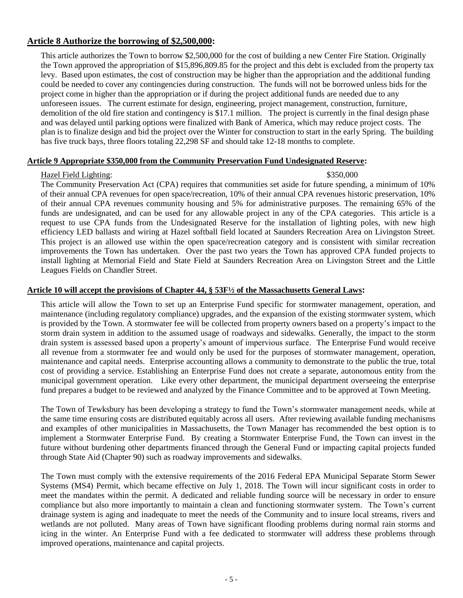# **Article 8 Authorize the borrowing of \$2,500,000:**

This article authorizes the Town to borrow \$2,500,000 for the cost of building a new Center Fire Station. Originally the Town approved the appropriation of \$15,896,809.85 for the project and this debt is excluded from the property tax levy. Based upon estimates, the cost of construction may be higher than the appropriation and the additional funding could be needed to cover any contingencies during construction. The funds will not be borrowed unless bids for the project come in higher than the appropriation or if during the project additional funds are needed due to any unforeseen issues. The current estimate for design, engineering, project management, construction, furniture, demolition of the old fire station and contingency is \$17.1 million. The project is currently in the final design phase and was delayed until parking options were finalized with Bank of America, which may reduce project costs. The plan is to finalize design and bid the project over the Winter for construction to start in the early Spring. The building has five truck bays, three floors totaling 22,298 SF and should take 12-18 months to complete.

## **Article 9 Appropriate \$350,000 from the Community Preservation Fund Undesignated Reserve:**

## Hazel Field Lighting: \$350,000 \$350,000 \$350,000 \$350,000 \$350,000 \$150.000 \$150.000 \$150.000 \$150.000 \$150.000 \$150.000 \$150.000 \$150.000 \$150.000 \$150.000 \$150.000 \$150.000 \$150.000 \$150.000 \$150.000 \$150.000 \$150.000 \$1

The Community Preservation Act (CPA) requires that communities set aside for future spending, a minimum of 10% of their annual CPA revenues for open space/recreation, 10% of their annual CPA revenues historic preservation, 10% of their annual CPA revenues community housing and 5% for administrative purposes. The remaining 65% of the funds are undesignated, and can be used for any allowable project in any of the CPA categories. This article is a request to use CPA funds from the Undesignated Reserve for the installation of lighting poles, with new high efficiency LED ballasts and wiring at Hazel softball field located at Saunders Recreation Area on Livingston Street. This project is an allowed use within the open space/recreation category and is consistent with similar recreation improvements the Town has undertaken. Over the past two years the Town has approved CPA funded projects to install lighting at Memorial Field and State Field at Saunders Recreation Area on Livingston Street and the Little Leagues Fields on Chandler Street.

#### **Article 10 will accept the provisions of Chapter 44, § 53F½ of the Massachusetts General Laws:**

This article will allow the Town to set up an Enterprise Fund specific for stormwater management, operation, and maintenance (including regulatory compliance) upgrades, and the expansion of the existing stormwater system, which is provided by the Town. A stormwater fee will be collected from property owners based on a property's impact to the storm drain system in addition to the assumed usage of roadways and sidewalks. Generally, the impact to the storm drain system is assessed based upon a property's amount of impervious surface. The Enterprise Fund would receive all revenue from a stormwater fee and would only be used for the purposes of stormwater management, operation, maintenance and capital needs. Enterprise accounting allows a community to demonstrate to the public the true, total cost of providing a service. Establishing an Enterprise Fund does not create a separate, autonomous entity from the municipal government operation. Like every other department, the municipal department overseeing the enterprise fund prepares a budget to be reviewed and analyzed by the Finance Committee and to be approved at Town Meeting.

The Town of Tewksbury has been developing a strategy to fund the Town's stormwater management needs, while at the same time ensuring costs are distributed equitably across all users. After reviewing available funding mechanisms and examples of other municipalities in Massachusetts, the Town Manager has recommended the best option is to implement a Stormwater Enterprise Fund. By creating a Stormwater Enterprise Fund, the Town can invest in the future without burdening other departments financed through the General Fund or impacting capital projects funded through State Aid (Chapter 90) such as roadway improvements and sidewalks.

The Town must comply with the extensive requirements of the 2016 Federal EPA Municipal Separate Storm Sewer Systems (MS4) Permit, which became effective on July 1, 2018. The Town will incur significant costs in order to meet the mandates within the permit. A dedicated and reliable funding source will be necessary in order to ensure compliance but also more importantly to maintain a clean and functioning stormwater system. The Town's current drainage system is aging and inadequate to meet the needs of the Community and to insure local streams, rivers and wetlands are not polluted. Many areas of Town have significant flooding problems during normal rain storms and icing in the winter. An Enterprise Fund with a fee dedicated to stormwater will address these problems through improved operations, maintenance and capital projects.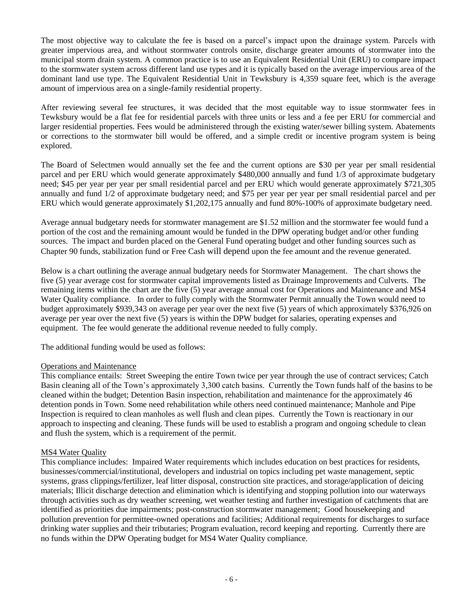The most objective way to calculate the fee is based on a parcel's impact upon the drainage system. Parcels with greater impervious area, and without stormwater controls onsite, discharge greater amounts of stormwater into the municipal storm drain system. A common practice is to use an Equivalent Residential Unit (ERU) to compare impact to the stormwater system across different land use types and it is typically based on the average impervious area of the dominant land use type. The Equivalent Residential Unit in Tewksbury is 4,359 square feet, which is the average amount of impervious area on a single-family residential property.

After reviewing several fee structures, it was decided that the most equitable way to issue stormwater fees in Tewksbury would be a flat fee for residential parcels with three units or less and a fee per ERU for commercial and larger residential properties. Fees would be administered through the existing water/sewer billing system. Abatements or corrections to the stormwater bill would be offered, and a simple credit or incentive program system is being explored.

The Board of Selectmen would annually set the fee and the current options are \$30 per year per small residential parcel and per ERU which would generate approximately \$480,000 annually and fund 1/3 of approximate budgetary need; \$45 per year per year per small residential parcel and per ERU which would generate approximately \$721,305 annually and fund 1/2 of approximate budgetary need; and \$75 per year per year per small residential parcel and per ERU which would generate approximately \$1,202,175 annually and fund 80%-100% of approximate budgetary need.

Average annual budgetary needs for stormwater management are \$1.52 million and the stormwater fee would fund a portion of the cost and the remaining amount would be funded in the DPW operating budget and/or other funding sources. The impact and burden placed on the General Fund operating budget and other funding sources such as Chapter 90 funds, stabilization fund or Free Cash will depend upon the fee amount and the revenue generated.

Below is a chart outlining the average annual budgetary needs for Stormwater Management. The chart shows the five (5) year average cost for stormwater capital improvements listed as Drainage Improvements and Culverts. The remaining items within the chart are the five (5) year average annual cost for Operations and Maintenance and MS4 Water Quality compliance. In order to fully comply with the Stormwater Permit annually the Town would need to budget approximately \$939,343 on average per year over the next five (5) years of which approximately \$376,926 on average per year over the next five (5) years is within the DPW budget for salaries, operating expenses and equipment. The fee would generate the additional revenue needed to fully comply.

The additional funding would be used as follows:

## Operations and Maintenance

This compliance entails: Street Sweeping the entire Town twice per year through the use of contract services; Catch Basin cleaning all of the Town's approximately 3,300 catch basins. Currently the Town funds half of the basins to be cleaned within the budget; Detention Basin inspection, rehabilitation and maintenance for the approximately 46 detention ponds in Town. Some need rehabilitation while others need continued maintenance; Manhole and Pipe Inspection is required to clean manholes as well flush and clean pipes. Currently the Town is reactionary in our approach to inspecting and cleaning. These funds will be used to establish a program and ongoing schedule to clean and flush the system, which is a requirement of the permit.

## MS4 Water Quality

This compliance includes: Impaired Water requirements which includes education on best practices for residents, businesses/commercial/institutional, developers and industrial on topics including pet waste management, septic systems, grass clippings/fertilizer, leaf litter disposal, construction site practices, and storage/application of deicing materials; Illicit discharge detection and elimination which is identifying and stopping pollution into our waterways through activities such as dry weather screening, wet weather testing and further investigation of catchments that are identified as priorities due impairments; post-construction stormwater management; Good housekeeping and pollution prevention for permittee-owned operations and facilities; Additional requirements for discharges to surface drinking water supplies and their tributaries; Program evaluation, record keeping and reporting. Currently there are no funds within the DPW Operating budget for MS4 Water Quality compliance.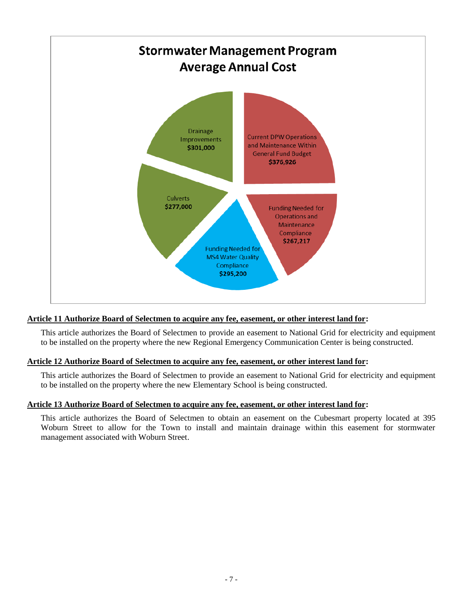

# **Article 11 Authorize Board of Selectmen to acquire any fee, easement, or other interest land for:**

This article authorizes the Board of Selectmen to provide an easement to National Grid for electricity and equipment to be installed on the property where the new Regional Emergency Communication Center is being constructed.

## **Article 12 Authorize Board of Selectmen to acquire any fee, easement, or other interest land for:**

This article authorizes the Board of Selectmen to provide an easement to National Grid for electricity and equipment to be installed on the property where the new Elementary School is being constructed.

## **Article 13 Authorize Board of Selectmen to acquire any fee, easement, or other interest land for:**

This article authorizes the Board of Selectmen to obtain an easement on the Cubesmart property located at 395 Woburn Street to allow for the Town to install and maintain drainage within this easement for stormwater management associated with Woburn Street.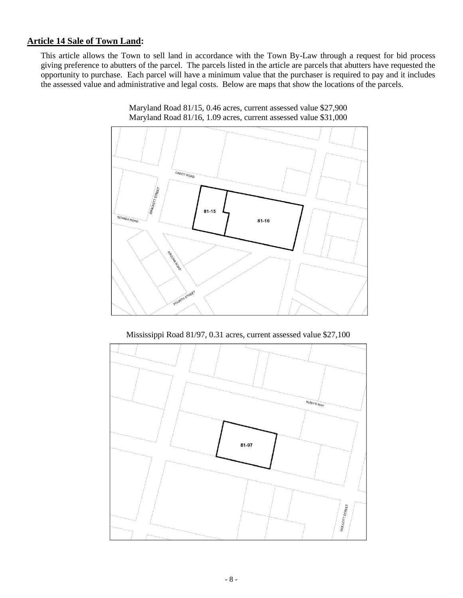# **Article 14 Sale of Town Land:**

This article allows the Town to sell land in accordance with the Town By-Law through a request for bid process giving preference to abutters of the parcel. The parcels listed in the article are parcels that abutters have requested the opportunity to purchase. Each parcel will have a minimum value that the purchaser is required to pay and it includes the assessed value and administrative and legal costs. Below are maps that show the locations of the parcels.





Mississippi Road 81/97, 0.31 acres, current assessed value \$27,100

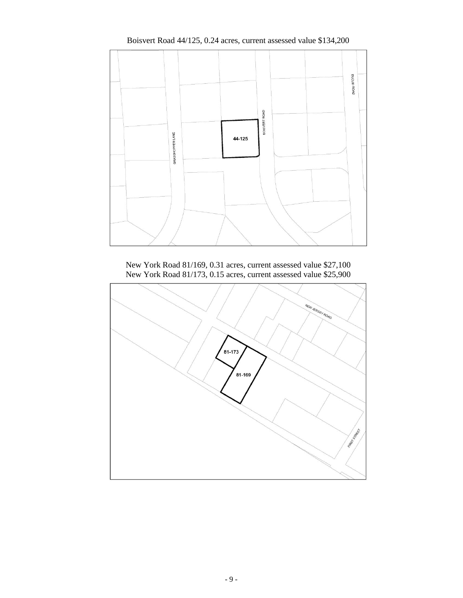

Boisvert Road 44/125, 0.24 acres, current assessed value \$134,200

New York Road 81/169, 0.31 acres, current assessed value \$27,100 New York Road 81/173, 0.15 acres, current assessed value \$25,900

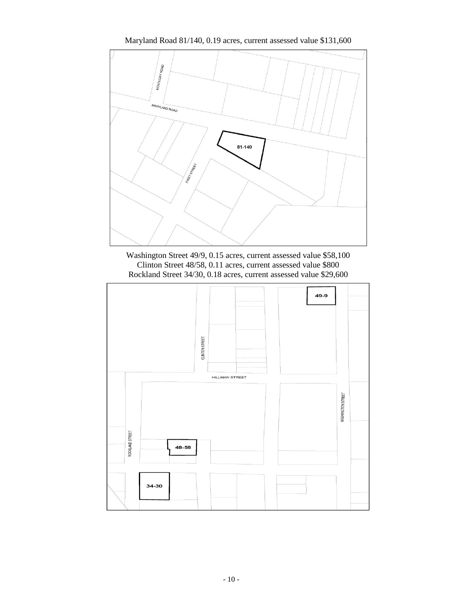





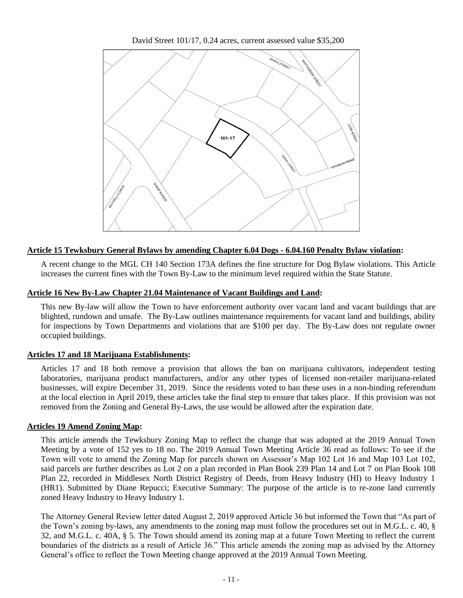David Street 101/17, 0.24 acres, current assessed value \$35,200



# **Article 15 Tewksbury General Bylaws by amending Chapter 6.04 Dogs - 6.04.160 Penalty Bylaw violation:**

A recent change to the MGL CH 140 Section 173A defines the fine structure for Dog Bylaw violations. This Article increases the current fines with the Town By-Law to the minimum level required within the State Statute.

## **Article 16 New By-Law Chapter 21.04 Maintenance of Vacant Buildings and Land:**

This new By-law will allow the Town to have enforcement authority over vacant land and vacant buildings that are blighted, rundown and unsafe. The By-Law outlines maintenance requirements for vacant land and buildings, ability for inspections by Town Departments and violations that are \$100 per day. The By-Law does not regulate owner occupied buildings.

## **Articles 17 and 18 Marijuana Establishments:**

Articles 17 and 18 both remove a provision that allows the ban on marijuana cultivators, independent testing laboratories, marijuana product manufacturers, and/or any other types of licensed non-retailer marijuana-related businesses, will expire December 31, 2019. Since the residents voted to ban these uses in a non-binding referendum at the local election in April 2019, these articles take the final step to ensure that takes place. If this provision was not removed from the Zoning and General By-Laws, the use would be allowed after the expiration date.

## **Articles 19 Amend Zoning Map:**

This article amends the Tewksbury Zoning Map to reflect the change that was adopted at the 2019 Annual Town Meeting by a vote of 152 yes to 18 no. The 2019 Annual Town Meeting Article 36 read as follows: To see if the Town will vote to amend the Zoning Map for parcels shown on Assessor's Map 102 Lot 16 and Map 103 Lot 102, said parcels are further describes as Lot 2 on a plan recorded in Plan Book 239 Plan 14 and Lot 7 on Plan Book 108 Plan 22, recorded in Middlesex North District Registry of Deeds, from Heavy Industry (HI) to Heavy Industry 1 (HR1). Submitted by Diane Repucci; Executive Summary: The purpose of the article is to re-zone land currently zoned Heavy Industry to Heavy Industry 1.

The Attorney General Review letter dated August 2, 2019 approved Article 36 but informed the Town that "As part of the Town's zoning by-laws, any amendments to the zoning map must follow the procedures set out in M.G.L. c. 40, § 32, and M.G.L. c. 40A, § 5. The Town should amend its zoning map at a future Town Meeting to reflect the current boundaries of the districts as a result of Article 36." This article amends the zoning map as advised by the Attorney General's office to reflect the Town Meeting change approved at the 2019 Annual Town Meeting.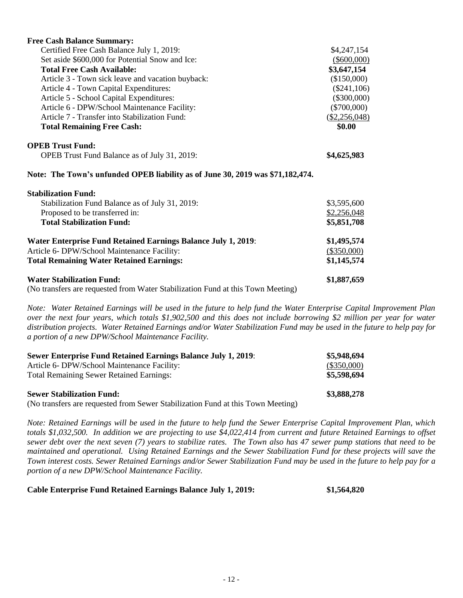| <b>Free Cash Balance Summary:</b>                                              |                            |
|--------------------------------------------------------------------------------|----------------------------|
| Certified Free Cash Balance July 1, 2019:                                      | \$4,247,154                |
| Set aside \$600,000 for Potential Snow and Ice:                                | $(\$600,000)$              |
| <b>Total Free Cash Available:</b>                                              | \$3,647,154                |
| Article 3 - Town sick leave and vacation buyback:                              | (\$150,000)                |
| Article 4 - Town Capital Expenditures:                                         | $(\$241,106)$              |
| Article 5 - School Capital Expenditures:                                       | $(\$300,000)$              |
| Article 6 - DPW/School Maintenance Facility:                                   | $(\$700,000)$              |
| Article 7 - Transfer into Stabilization Fund:                                  | $(\underline{$2,256,048})$ |
| <b>Total Remaining Free Cash:</b>                                              | \$0.00                     |
| <b>OPEB Trust Fund:</b>                                                        |                            |
| OPEB Trust Fund Balance as of July 31, 2019:                                   | \$4,625,983                |
| Note: The Town's unfunded OPEB liability as of June 30, 2019 was \$71,182,474. |                            |
| <b>Stabilization Fund:</b>                                                     |                            |
| Stabilization Fund Balance as of July 31, 2019:                                | \$3,595,600                |
| Proposed to be transferred in:                                                 | \$2,256,048                |
| <b>Total Stabilization Fund:</b>                                               | \$5,851,708                |
| <b>Water Enterprise Fund Retained Earnings Balance July 1, 2019:</b>           | \$1,495,574                |
| Article 6- DPW/School Maintenance Facility:                                    | (\$350,000)                |
| <b>Total Remaining Water Retained Earnings:</b>                                | \$1,145,574                |
| <b>Water Stabilization Fund:</b>                                               | \$1,887,659                |

(No transfers are requested from Water Stabilization Fund at this Town Meeting)

*Note: Water Retained Earnings will be used in the future to help fund the Water Enterprise Capital Improvement Plan over the next four years, which totals \$1,902,500 and this does not include borrowing \$2 million per year for water distribution projects. Water Retained Earnings and/or Water Stabilization Fund may be used in the future to help pay for a portion of a new DPW/School Maintenance Facility.* 

| <b>Sewer Enterprise Fund Retained Earnings Balance July 1, 2019:</b> | \$5,948,694   |
|----------------------------------------------------------------------|---------------|
| Article 6- DPW/School Maintenance Facility:                          | $(\$350,000)$ |
| <b>Total Remaining Sewer Retained Earnings:</b>                      | \$5,598,694   |
| <b>Sewer Stabilization Fund:</b>                                     | \$3,888,278   |

(No transfers are requested from Sewer Stabilization Fund at this Town Meeting)

*Note: Retained Earnings will be used in the future to help fund the Sewer Enterprise Capital Improvement Plan, which totals \$1,032,500. In addition we are projecting to use \$4,022,414 from current and future Retained Earnings to offset sewer debt over the next seven (7) years to stabilize rates. The Town also has 47 sewer pump stations that need to be maintained and operational. Using Retained Earnings and the Sewer Stabilization Fund for these projects will save the Town interest costs. Sewer Retained Earnings and/or Sewer Stabilization Fund may be used in the future to help pay for a portion of a new DPW/School Maintenance Facility.* 

# **Cable Enterprise Fund Retained Earnings Balance July 1, 2019: \$1,564,820**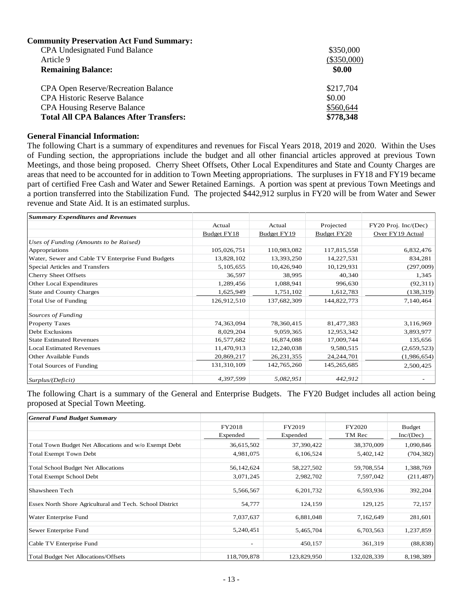| <b>Community Preservation Act Fund Summary:</b> |               |
|-------------------------------------------------|---------------|
| <b>CPA Undesignated Fund Balance</b>            | \$350,000     |
| Article 9                                       | $(\$350,000)$ |
| <b>Remaining Balance:</b>                       | \$0.00        |
| <b>CPA Open Reserve/Recreation Balance</b>      | \$217,704     |
| <b>CPA Historic Reserve Balance</b>             | \$0.00        |
| <b>CPA Housing Reserve Balance</b>              | \$560,644     |
| <b>Total All CPA Balances After Transfers:</b>  | \$778,348     |

#### **General Financial Information:**

The following Chart is a summary of expenditures and revenues for Fiscal Years 2018, 2019 and 2020. Within the Uses of Funding section, the appropriations include the budget and all other financial articles approved at previous Town Meetings, and those being proposed. Cherry Sheet Offsets, Other Local Expenditures and State and County Charges are areas that need to be accounted for in addition to Town Meeting appropriations. The surpluses in FY18 and FY19 became part of certified Free Cash and Water and Sewer Retained Earnings. A portion was spent at previous Town Meetings and a portion transferred into the Stabilization Fund. The projected  $\frac{5442,912}{442,912}$  surplus in FY20 will be from Water and Sewer revenue and State Aid. It is an estimated surplus.

| <b>Summary Expenditures and Revenues</b>          |             |              |              |                      |
|---------------------------------------------------|-------------|--------------|--------------|----------------------|
|                                                   | Actual      | Actual       | Projected    | FY20 Proj. Inc/(Dec) |
|                                                   | Budget FY18 | Budget FY19  | Budget FY20  | Over FY19 Actual     |
| Uses of Funding (Amounts to be Raised)            |             |              |              |                      |
| Appropriations                                    | 105,026,751 | 110,983,082  | 117,815,558  | 6,832,476            |
| Water, Sewer and Cable TV Enterprise Fund Budgets | 13,828,102  | 13,393,250   | 14,227,531   | 834,281              |
| Special Articles and Transfers                    | 5,105,655   | 10,426,940   | 10,129,931   | (297,009)            |
| <b>Cherry Sheet Offsets</b>                       | 36,597      | 38,995       | 40,340       | 1,345                |
| <b>Other Local Expenditures</b>                   | 1,289,456   | 1,088,941    | 996,630      | (92,311)             |
| <b>State and County Charges</b>                   | 1,625,949   | 1,751,102    | 1,612,783    | (138, 319)           |
| Total Use of Funding                              | 126,912,510 | 137,682,309  | 144,822,773  | 7,140,464            |
| Sources of Funding                                |             |              |              |                      |
| <b>Property Taxes</b>                             | 74,363,094  | 78,360,415   | 81,477,383   | 3,116,969            |
| <b>Debt Exclusions</b>                            | 8,029,204   | 9,059,365    | 12,953,342   | 3,893,977            |
| <b>State Estimated Revenues</b>                   | 16,577,682  | 16,874,088   | 17,009,744   | 135,656              |
| <b>Local Estimated Revenues</b>                   | 11,470,913  | 12,240,038   | 9,580,515    | (2,659,523)          |
| Other Available Funds                             | 20,869,217  | 26, 231, 355 | 24, 244, 701 | (1,986,654)          |
| <b>Total Sources of Funding</b>                   | 131,310,109 | 142,765,260  | 145,265,685  | 2,500,425            |
| Surplus/(Deficit)                                 | 4,397,599   | 5,082,951    | 442,912      |                      |

The following Chart is a summary of the General and Enterprise Budgets. The FY20 Budget includes all action being proposed at Special Town Meeting.

| <b>General Fund Budget Summary</b>                       |                          |             |             |               |
|----------------------------------------------------------|--------------------------|-------------|-------------|---------------|
|                                                          | FY2018                   | FY2019      | FY2020      | <b>Budget</b> |
|                                                          | Expended                 | Expended    | TM Rec      | Inc/(Dec)     |
| Total Town Budget Net Allocations and w/o Exempt Debt    | 36,615,502               | 37,390,422  | 38,370,009  | 1,090,846     |
| <b>Total Exempt Town Debt</b>                            | 4,981,075                | 6,106,524   | 5,402,142   | (704, 382)    |
| <b>Total School Budget Net Allocations</b>               | 56,142,624               | 58,227,502  | 59,708,554  | 1,388,769     |
| <b>Total Exempt School Debt</b>                          | 3,071,245                | 2,982,702   | 7,597,042   | (211, 487)    |
| Shawsheen Tech                                           | 5,566,567                | 6,201,732   | 6,593,936   | 392,204       |
| Essex North Shore Agricultural and Tech. School District | 54,777                   | 124,159     | 129,125     | 72,157        |
| Water Enterprise Fund                                    | 7,037,637                | 6,881,048   | 7,162,649   | 281,601       |
| Sewer Enterprise Fund                                    | 5,240,451                | 5,465,704   | 6,703,563   | 1,237,859     |
| Cable TV Enterprise Fund                                 | $\overline{\phantom{a}}$ | 450,157     | 361,319     | (88, 838)     |
| <b>Total Budget Net Allocations/Offsets</b>              | 118,709,878              | 123,829,950 | 132,028,339 | 8,198,389     |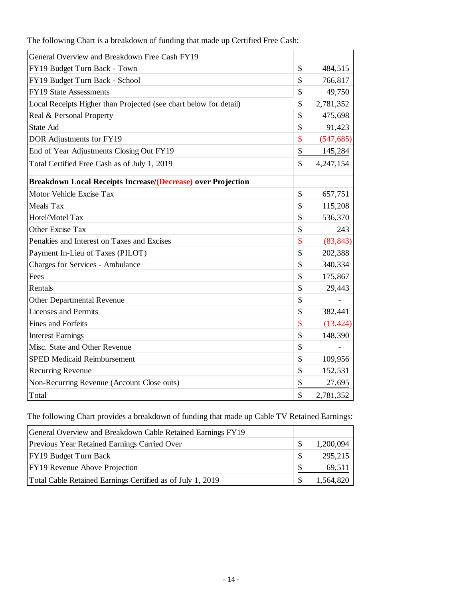| General Overview and Breakdown Free Cash FY19                     |                           |            |
|-------------------------------------------------------------------|---------------------------|------------|
| FY19 Budget Turn Back - Town                                      | $\mathcal{S}$             | 484,515    |
| FY19 Budget Turn Back - School                                    | \$                        | 766,817    |
| FY19 State Assessments                                            | $\mathbf{\hat{S}}$        | 49,750     |
| Local Receipts Higher than Projected (see chart below for detail) | \$                        | 2,781,352  |
| Real & Personal Property                                          | $\mathcal{S}$             | 475,698    |
| State Aid                                                         | $\mathcal{S}$             | 91,423     |
| DOR Adjustments for FY19                                          | $\boldsymbol{\mathsf{S}}$ | (547, 685) |
| End of Year Adjustments Closing Out FY19                          | \$                        | 145,284    |
| Total Certified Free Cash as of July 1, 2019                      | \$                        | 4,247,154  |
| Breakdown Local Receipts Increase/(Decrease) over Projection      |                           |            |
| Motor Vehicle Excise Tax                                          | \$                        | 657,751    |
| Meals Tax                                                         | $\mathcal{S}$             | 115,208    |
| Hotel/Motel Tax                                                   | \$                        | 536,370    |
| Other Excise Tax                                                  | \$                        | 243        |
| Penalties and Interest on Taxes and Excises                       | $\mathbf{\$}$             | (83, 843)  |
| Payment In-Lieu of Taxes (PILOT)                                  | $\mathcal{S}$             | 202,388    |
| <b>Charges for Services - Ambulance</b>                           | \$                        | 340,334    |
| Fees                                                              | $\mathcal{S}$             | 175,867    |
| Rentals                                                           | \$                        | 29,443     |
| Other Departmental Revenue                                        | \$                        |            |
| <b>Licenses and Permits</b>                                       | \$                        | 382,441    |
| Fines and Forfeits                                                | $\boldsymbol{\mathsf{S}}$ | (13, 424)  |
| <b>Interest Earnings</b>                                          | \$                        | 148,390    |
| Misc. State and Other Revenue                                     | \$                        |            |
| <b>SPED Medicaid Reimbursement</b>                                | \$                        | 109,956    |
| <b>Recurring Revenue</b>                                          | \$                        | 152,531    |
| Non-Recurring Revenue (Account Close outs)                        | \$                        | 27,695     |
| Total                                                             | $\mathbb{S}$              | 2,781,352  |
|                                                                   |                           |            |

The following Chart is a breakdown of funding that made up Certified Free Cash:

The following Chart provides a breakdown of funding that made up Cable TV Retained Earnings:

| General Overview and Breakdown Cable Retained Earnings FY19 |    |           |
|-------------------------------------------------------------|----|-----------|
| Previous Year Retained Earnings Carried Over                | -S | 1,200,094 |
| <b>FY19 Budget Turn Back</b>                                | -S | 295,215   |
| <b>FY19</b> Revenue Above Projection                        | -S | 69,511    |
| Total Cable Retained Earnings Certified as of July 1, 2019  | -S | 1,564,820 |